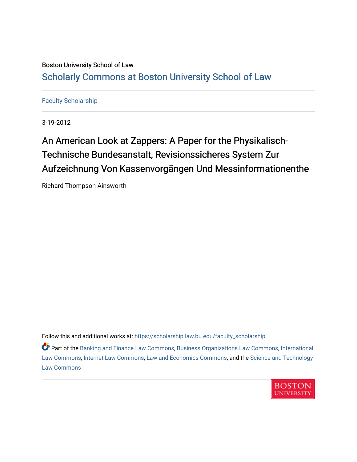# Boston University School of Law [Scholarly Commons at Boston University School of Law](https://scholarship.law.bu.edu/)

## [Faculty Scholarship](https://scholarship.law.bu.edu/faculty_scholarship)

3-19-2012

# An American Look at Zappers: A Paper for the Physikalisch-Technische Bundesanstalt, Revisionssicheres System Zur Aufzeichnung Von Kassenvorgängen Und Messinformationenthe

Richard Thompson Ainsworth

Follow this and additional works at: [https://scholarship.law.bu.edu/faculty\\_scholarship](https://scholarship.law.bu.edu/faculty_scholarship?utm_source=scholarship.law.bu.edu%2Ffaculty_scholarship%2F1455&utm_medium=PDF&utm_campaign=PDFCoverPages)

Part of the [Banking and Finance Law Commons,](http://network.bepress.com/hgg/discipline/833?utm_source=scholarship.law.bu.edu%2Ffaculty_scholarship%2F1455&utm_medium=PDF&utm_campaign=PDFCoverPages) [Business Organizations Law Commons](http://network.bepress.com/hgg/discipline/900?utm_source=scholarship.law.bu.edu%2Ffaculty_scholarship%2F1455&utm_medium=PDF&utm_campaign=PDFCoverPages), [International](http://network.bepress.com/hgg/discipline/609?utm_source=scholarship.law.bu.edu%2Ffaculty_scholarship%2F1455&utm_medium=PDF&utm_campaign=PDFCoverPages)  [Law Commons,](http://network.bepress.com/hgg/discipline/609?utm_source=scholarship.law.bu.edu%2Ffaculty_scholarship%2F1455&utm_medium=PDF&utm_campaign=PDFCoverPages) [Internet Law Commons](http://network.bepress.com/hgg/discipline/892?utm_source=scholarship.law.bu.edu%2Ffaculty_scholarship%2F1455&utm_medium=PDF&utm_campaign=PDFCoverPages), [Law and Economics Commons](http://network.bepress.com/hgg/discipline/612?utm_source=scholarship.law.bu.edu%2Ffaculty_scholarship%2F1455&utm_medium=PDF&utm_campaign=PDFCoverPages), and the [Science and Technology](http://network.bepress.com/hgg/discipline/875?utm_source=scholarship.law.bu.edu%2Ffaculty_scholarship%2F1455&utm_medium=PDF&utm_campaign=PDFCoverPages) [Law Commons](http://network.bepress.com/hgg/discipline/875?utm_source=scholarship.law.bu.edu%2Ffaculty_scholarship%2F1455&utm_medium=PDF&utm_campaign=PDFCoverPages) 

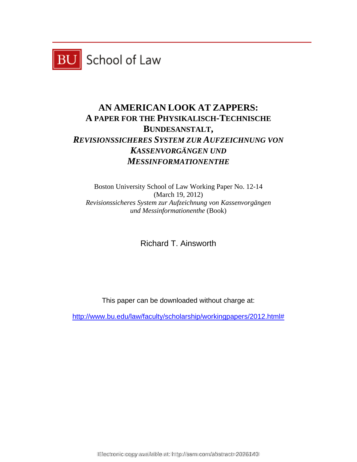

# **AN AMERICAN LOOK AT ZAPPERS: A PAPER FOR THE PHYSIKALISCH-TECHNISCHE BUNDESANSTALT,**  *REVISIONSSICHERES SYSTEM ZUR AUFZEICHNUNG VON KASSENVORGÄNGEN UND MESSINFORMATIONENTHE*

Boston University School of Law Working Paper No. 12-14 (March 19, 2012) *Revisionssicheres System zur Aufzeichnung von Kassenvorgängen und Messinformationenthe* (Book)

Richard T. Ainsworth

This paper can be downloaded without charge at:

http://www.bu.edu/law/faculty/scholarship/workingpapers/2012.html#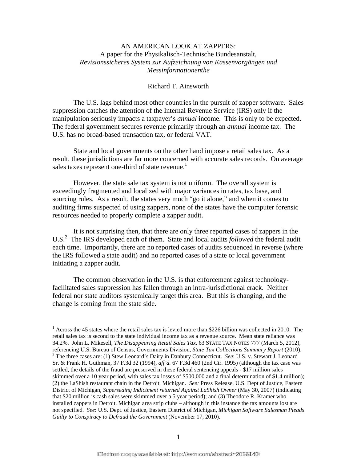## AN AMERICAN LOOK AT ZAPPERS: A paper for the Physikalisch-Technische Bundesanstalt, *Revisionssicheres System zur Aufzeichnung von Kassenvorgängen und Messinformationenthe*

### Richard T. Ainsworth

 The U.S. lags behind most other countries in the pursuit of zapper software. Sales suppression catches the attention of the Internal Revenue Service (IRS) only if the manipulation seriously impacts a taxpayer's *annual* income. This is only to be expected. The federal government secures revenue primarily through an *annual* income tax. The U.S. has no broad-based transaction tax, or federal VAT.

State and local governments on the other hand impose a retail sales tax. As a result, these jurisdictions are far more concerned with accurate sales records. On average sales taxes represent one-third of state revenue.<sup>1</sup>

However, the state sale tax system is not uniform. The overall system is exceedingly fragmented and localized with major variances in rates, tax base, and sourcing rules. As a result, the states very much "go it alone," and when it comes to auditing firms suspected of using zappers, none of the states have the computer forensic resources needed to properly complete a zapper audit.

It is not surprising then, that there are only three reported cases of zappers in the U.S.<sup>2</sup> The IRS developed each of them. State and local audits *followed* the federal audit each time. Importantly, there are no reported cases of audits sequenced in reverse (where the IRS followed a state audit) and no reported cases of a state or local government initiating a zapper audit.

The common observation in the U.S. is that enforcement against technologyfacilitated sales suppression has fallen through an intra-jurisdictional crack. Neither federal nor state auditors systemically target this area. But this is changing, and the change is coming from the state side.

<sup>&</sup>lt;sup>1</sup> Across the 45 states where the retail sales tax is levied more than \$226 billion was collected in 2010. The retail sales tax is second to the state individual income tax as a revenue source. Mean state reliance was 34.2%. John L. Mikesell, *The Disappearing Retail Sales Tax,* 63 STATE TAX NOTES 777 (March 5, 2012), referencing U.S. Bureau of Census, Governments Division, *State Tax Collections Summary Report* (2010). 2 The three cases are: (1) Stew Leonard's Dairy in Danbury Connecticut. *See*: U.S. v. Stewart J. Leonard Sr. & Frank H. Guthman, 37 F.3d 32 (1994), *aff'd.* 67 F.3d 460 (2nd Cir. 1995) (although the tax case was settled, the details of the fraud are preserved in these federal sentencing appeals - \$17 million sales skimmed over a 10 year period, with sales tax losses of \$500,000 and a final determination of \$1.4 million); (2) the LaShish restaurant chain in the Detroit, Michigan. *See:* Press Release, U.S. Dept of Justice, Eastern District of Michigan, *Superseding Indictment returned Against LaShish Owner* (May 30, 2007) (indicating that \$20 million is cash sales were skimmed over a 5 year period); and (3) Theodore R. Kramer who installed zappers in Detroit, Michigan area strip clubs – although in this instance the tax amounts lost are not specified. *See*: U.S. Dept. of Justice, Eastern District of Michigan, *Michigan Software Salesman Pleads Guilty to Conspiracy to Defraud the Government* (November 17, 2010).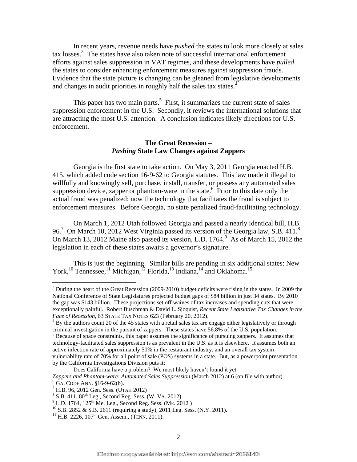In recent years, revenue needs have *pushed* the states to look more closely at sales tax losses.3 The states have also taken note of successful international enforcement efforts against sales suppression in VAT regimes, and these developments have *pulled* the states to consider enhancing enforcement measures against suppression frauds. Evidence that the state picture is changing can be gleaned from legislative developments and changes in audit priorities in roughly half the sales tax states.<sup>4</sup>

This paper has two main parts.<sup>5</sup> First, it summarizes the current state of sales suppression enforcement in the U.S. Secondly, it reviews the international solutions that are attracting the most U.S. attention. A conclusion indicates likely directions for U.S. enforcement.

#### **The Great Recession –**  *Pushing* **State Law Changes against Zappers**

Georgia is the first state to take action. On May 3, 2011 Georgia enacted H.B. 415, which added code section 16-9-62 to Georgia statutes. This law made it illegal to willfully and knowingly sell, purchase, install, transfer, or possess any automated sales suppression device, zapper or phantom-ware in the state. $6$  Prior to this date only the actual fraud was penalized; now the technology that facilitates the fraud is subject to enforcement measures. Before Georgia, no state penalized fraud-facilitating technology.

On March 1, 2012 Utah followed Georgia and passed a nearly identical bill, H.B. 96.<sup>7</sup> On March 10, 2012 West Virginia passed its version of the Georgia law, S.B. 411.<sup>8</sup> On March 13, 2012 Maine also passed its version, L.D. 1764.<sup>9</sup> As of March 15, 2012 the legislation in each of these states awaits a governor's signature.

This is just the beginning. Similar bills are pending in six additional states: New York,<sup>10</sup> Tennessee,<sup>11</sup> Michigan,<sup>12</sup> Florida,<sup>13</sup> Indiana,<sup>14</sup> and Oklahoma.<sup>15</sup>

 $3$  During the heart of the Great Recession (2009-2010) budget deficits were rising in the states. In 2009 the National Conference of State Legislatures projected budget gaps of \$84 billion in just 34 states. By 2010 the gap was \$143 billion. These projections set off waives of tax increases and spending cuts that were exceptionally painful. Robert Buschman & David L. Sjoquist, *Recent State Legislative Tax Changes in the Face of Recession,* 63 STATE TAX NOTES 623 (February 20, 2012). 4

<sup>&</sup>lt;sup>4</sup> By the authors count 20 of the 45 states with a retail sales tax are engage either legislatively or through criminal investigation in the pursuit of zappers. These states have 56.8% of the U.S. population.<br><sup>5</sup> Because of space constraints, this paper assumes the significance of pursuing zappers. It assumes that technology-facilitated sales suppression is as prevalent in the U.S. as it is elsewhere. It assumes both an active infection rate of approximately 50% in the restaurant industry, and an overall tax system vulnerability rate of 70% for all point of sale (POS) systems in a state. But, as a powerpoint presentation by the California Investigations Division puts it:

Does California have a problem? We most likely haven't found it yet.

Zappers and Phantom-ware: Automated Sales Suppression (March 2012) at 6 (on file with author).  $6\overline{GA}$ . CODE ANN. §16-9-62(b).

<sup>&</sup>lt;sup>7</sup> H.B. 96, 2012 Gen. Sess. (UTAH 2012)

 $S$  S.B. 411, 80<sup>th</sup> Leg., Second Reg. Sess. (W. VA. 2012)<br><sup>9</sup> L.D. 1764, 125<sup>th</sup> Me. Leg., Second Reg. Sess. (ME. 2012)

<sup>&</sup>lt;sup>10</sup> S.B. 2852 & S.B. 2611 (requiring a study), 2011 Leg. Sess. (N.Y. 2011).<br><sup>11</sup> H.B. 2226, 107<sup>th</sup> Gen. Assem., (TENN. 2011).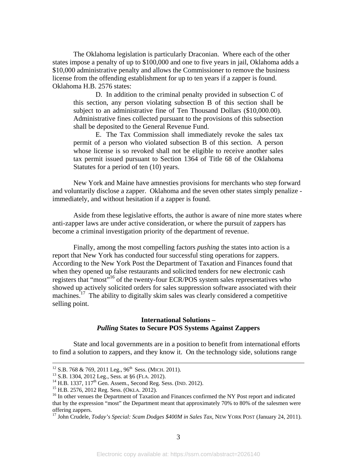The Oklahoma legislation is particularly Draconian. Where each of the other states impose a penalty of up to \$100,000 and one to five years in jail, Oklahoma adds a \$10,000 administrative penalty and allows the Commissioner to remove the business license from the offending establishment for up to ten years if a zapper is found. Oklahoma H.B. 2576 states:

D. In addition to the criminal penalty provided in subsection C of this section, any person violating subsection B of this section shall be subject to an administrative fine of Ten Thousand Dollars (\$10,000.00). Administrative fines collected pursuant to the provisions of this subsection shall be deposited to the General Revenue Fund.

E. The Tax Commission shall immediately revoke the sales tax permit of a person who violated subsection B of this section. A person whose license is so revoked shall not be eligible to receive another sales tax permit issued pursuant to Section 1364 of Title 68 of the Oklahoma Statutes for a period of ten (10) years.

 New York and Maine have amnesties provisions for merchants who step forward and voluntarily disclose a zapper. Oklahoma and the seven other states simply penalize immediately, and without hesitation if a zapper is found.

Aside from these legislative efforts, the author is aware of nine more states where anti-zapper laws are under active consideration, or where the pursuit of zappers has become a criminal investigation priority of the department of revenue.

Finally, among the most compelling factors *pushing* the states into action is a report that New York has conducted four successful sting operations for zappers. According to the New York Post the Department of Taxation and Finances found that when they opened up false restaurants and solicited tenders for new electronic cash registers that "most"<sup>16</sup> of the twenty-four ECR/POS system sales representatives who showed up actively solicited orders for sales suppression software associated with their machines.<sup>17</sup> The ability to digitally skim sales was clearly considered a competitive selling point.

### **International Solutions –**  *Pulling* **States to Secure POS Systems Against Zappers**

State and local governments are in a position to benefit from international efforts to find a solution to zappers, and they know it. On the technology side, solutions range

<sup>&</sup>lt;sup>12</sup> S.B. 768 & 769, 2011 Leg., 96<sup>th</sup> Sess. (MICH. 2011).<br><sup>13</sup> S.B. 1304, 2012 Leg., Sess. at §6 (FLA. 2012).<br><sup>14</sup> H.B. 1337, 117<sup>th</sup> Gen. Assem., Second Reg. Sess. (IND. 2012).<br><sup>15</sup> H.B. 2576, 2012 Reg. Sess. (OKLA. 201 that by the expression "most" the Department meant that approximately 70% to 80% of the salesmen were offering zappers.

<sup>&</sup>lt;sup>17</sup> John Crudele, *Today's Special: Scam Dodges \$400M in Sales Tax*, NEW YORK POST (January 24, 2011).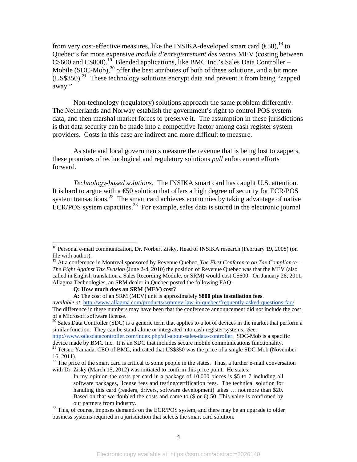from very cost-effective measures, like the INSIKA-developed smart card  $(\mathfrak{S}0)$ , <sup>18</sup> to Quebec's far more expensive *module d'enregistrement des ventes* MEV (costing between C\$600 and C\$800).19 Blended applications, like BMC Inc.'s Sales Data Controller – Mobile  $(SDC-Mob)$ ,<sup>20</sup> offer the best attributes of both of these solutions, and a bit more (US\$350).<sup>21</sup> These technology solutions encrypt data and prevent it from being "zapped" away."

Non-technology (regulatory) solutions approach the same problem differently. The Netherlands and Norway establish the government's right to control POS system data, and then marshal market forces to preserve it. The assumption in these jurisdictions is that data security can be made into a competitive factor among cash register system providers. Costs in this case are indirect and more difficult to measure.

 As state and local governments measure the revenue that is being lost to zappers, these promises of technological and regulatory solutions *pull* enforcement efforts forward.

*Technology-based solutions*. The INSIKA smart card has caught U.S. attention. It is hard to argue with a  $\epsilon$ 50 solution that offers a high degree of security for ECR/POS system transactions.<sup>22</sup> The smart card achieves economies by taking advantage of native ECR/POS system capacities.<sup>23</sup> For example, sales data is stored in the electronic journal

1

<sup>20</sup> Sales Data Controller (SDC) is a generic term that applies to a lot of devices in the market that perform a similar function. They can be stand-alone or integrated into cash register systems. *See*:

http://www.salesdatacontroller.com/index.php/all-about-sales-data-controller. SDC-Mob is a specific device made by BMC Inc. It is an SDC that includes secure mobile communications functionality.

<sup>&</sup>lt;sup>18</sup> Personal e-mail communication, Dr. Norbert Zisky, Head of INSIKA research (February 19, 2008) (on file with author).

<sup>&</sup>lt;sup>19</sup> At a conference in Montreal sponsored by Revenue Quebec, *The First Conference on Tax Compliance* – *The Fight Against Tax Evasion* (June 2-4, 2010) the position of Revenue Quebec was that the MEV (also called in English translation a Sales Recording Module, or SRM) would cost C\$600. On January 26, 2011, Allagma Technologies, an SRM dealer in Quebec posted the following FAQ:

**Q: How much does an SRM (MEV) cost?** 

**A:** The cost of an SRM (MEV) unit is approximately **\$800 plus installation fees**.

*available at*: http://www.allagma.com/products/srmmev-law-in-quebec/frequently-asked-questions-faq/. The difference in these numbers may have been that the conference announcement did not include the cost of a Microsoft software license.

<sup>&</sup>lt;sup>21</sup> Tetsuo Yamada, CEO of BMC, indicated that US\$350 was the price of a single SDC-Mob (November 16, 2011).

 $^{22}$  The price of the smart card is critical to some people in the states. Thus, a further e-mail conversation with Dr. Zisky (March 15, 2012) was initiated to confirm this price point. He states:

In my opinion the costs per card in a package of 10,000 pieces is \$5 to 7 including all software packages, license fees and testing/certification fees. The technical solution for handling this card (readers, drivers, software development) takes ... not more than \$20. Based on that we doubled the costs and came to (\$ or  $\bigoplus$  50. This value is confirmed by our partners from industry.<br><sup>23</sup> This, of course, imposes demands on the ECR/POS system, and there may be an upgrade to older

business systems required in a jurisdiction that selects the smart card solution.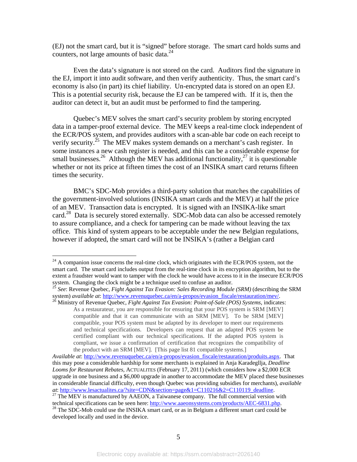(EJ) not the smart card, but it is "signed" before storage. The smart card holds sums and counters, not large amounts of basic data. $^{24}$ 

Even the data's signature is not stored on the card. Auditors find the signature in the EJ, import it into audit software, and then verify authenticity. Thus, the smart card's economy is also (in part) its chief liability. Un-encrypted data is stored on an open EJ. This is a potential security risk, because the EJ can be tampered with. If it is, then the auditor can detect it, but an audit must be performed to find the tampering.

Quebec's MEV solves the smart card's security problem by storing encrypted data in a tamper-proof external device. The MEV keeps a real-time clock independent of the ECR/POS system, and provides auditors with a scan-able bar code on each receipt to verify security.<sup>25</sup> The MEV makes system demands on a merchant's cash register. In some instances a new cash register is needed, and this can be a considerable expense for small businesses.<sup>26</sup> Although the MEV has additional functionality,<sup>27</sup> it is questionable whether or not its price at fifteen times the cost of an INSIKA smart card returns fifteen times the security.

BMC's SDC-Mob provides a third-party solution that matches the capabilities of the government-involved solutions (INSIKA smart cards and the MEV) at half the price of an MEV. Transaction data is encrypted. It is signed with an INSIKA-like smart card.<sup>28</sup> Data is securely stored externally. SDC-Mob data can also be accessed remotely to assure compliance, and a check for tampering can be made without leaving the tax office. This kind of system appears to be acceptable under the new Belgian regulations, however if adopted, the smart card will not be INSIKA's (rather a Belgian card

 $24$  A companion issue concerns the real-time clock, which originates with the ECR/POS system, not the smart card. The smart card includes output from the real-time clock in its encryption algorithm, but to the extent a fraudster would want to tamper with the clock he would have access to it in the insecure ECR/POS system. Changing the clock might be a technique used to confuse an auditor.

<sup>25</sup> *See*: Revenue Quebec, *Fight Against Tax Evasion: Sales Recording Module (SRM)* (describing the SRM system) *available at*: http://www.revenuquebec.ca/en/a-propos/evasion\_fiscale/restauration/mev/.<br><sup>26</sup> Ministry of Revenue Quebec, *Fight Against Tax Evasion: Point-of-Sale (POS) Systems*, indicates:

As a restaurateur, you are responsible for ensuring that your POS system is SRM [MEV] compatible and that it can communicate with an SRM [MEV]. To be SRM [MEV] compatible, your POS system must be adapted by its developer to meet our requirements and technical specifications. Developers can request that an adapted POS system be certified compliant with our technical specifications. If the adapted POS system is compliant, we issue a confirmation of certification that recognizes the compatibility of the product with an SRM [MEV]. [This page list 81 compatible systems.]

*Available at*: http://www.revenuquebec.ca/en/a-propos/evasion\_fiscale/restauration/produits.aspx. That this may pose a considerable hardship for some merchants is explained in Anja Karadegllja, *Deadline Looms for Restaurant Rebates,* ACTUALITES (February 17, 2011) (which considers how a \$2,000 ECR upgrade in one business and a \$6,000 upgrade in another to accommodate the MEV placed these businesses in considerable financial difficulty, even though Quebec was providing subsidies for merchants), *available* 

*at*: http://www.lesactualites.ca/?site=CDN&section=page&1=C110216&2=C110119\_deadline.<br><sup>27</sup> The MEV is manufactured by AAEON, a Taiwanese company. The full commercial version with technical specifications can be seen here:

 $t^2$  The SDC-Mob could use the INSIKA smart card, or as in Belgium a different smart card could be developed locally and used in the device.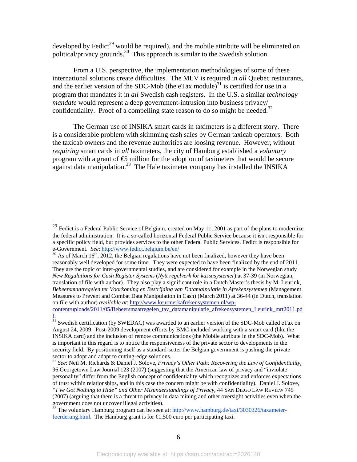developed by Fedict<sup>29</sup> would be required), and the mobile attribute will be eliminated on political/privacy grounds.<sup>30</sup> This approach is similar to the Swedish solution.

From a U.S. perspective, the implementation methodologies of some of these international solutions create difficulties. The MEV is required in *all* Quebec restaurants, and the earlier version of the SDC-Mob (the eTax module)<sup>31</sup> is certified for use in a program that mandates it in *all* Swedish cash registers. In the U.S. a similar *technology mandate* would represent a deep government-intrusion into business privacy/ confidentiality. Proof of a compelling state reason to do so might be needed.<sup>32</sup>

The German use of INSIKA smart cards in taximeters is a different story. There is a considerable problem with skimming cash sales by German taxicab operators. Both the taxicab owners and the revenue authorities are loosing revenue. However, without *requiring* smart cards in *all* taximeters, the city of Hamburg established a *voluntary* program with a grant of  $\epsilon$ 5 million for the adoption of taximeters that would be secure against data manipulation.<sup>33</sup> The Hale taximeter company has installed the INSIKA

1

<sup>&</sup>lt;sup>29</sup> Fedict is a Federal Public Service of Belgium, created on May 11, 2001 as part of the plans to modernize the federal administration. It is a so-called horizontal Federal Public Service because it isn't responsible for a specific policy field, but provides services to the other Federal Public Services. Fedict is responsible for<br>e-Government. See: http://www.fedict.belgium.be/en/

 $^{30}$  As of March 16<sup>th</sup>, 2012, the Belgian regulations have not been finalized, however they have been reasonably well developed for some time. They were expected to have been finalized by the end of 2011. They are the topic of inter-governmental studies, and are considered for example in the Norwegian study *New Regulations for Cash Register Systems* (*Nytt regelverk for kassasystemer*) at 37-39 (in Norwegian, translation of file with author). They also play a significant role in a Dutch Master's thesis by M. Leurink, *Beheersmaatregelen ter Voorkoming en Bestrijding van Datamaipulatie in Afrekensystemen* (Management Measures to Prevent and Combat Data Manipulation in Cash) (March 2011) at 36-44 (in Dutch, translation on file with author) *available at*: http://www.keurmerkafrekensystemen.nl/wp-

content/uploads/2011/05/Beheersmaatregelen\_tav\_datamanipulatie\_afrekensystemen\_Leurink\_mrt2011.pd f.

<sup>&</sup>lt;sup>31</sup> Swedish certification (by SWEDAC) was awarded to an earlier version of the SDC-Mob called eTax on August 24, 2009. Post-2009 development efforts by BMC included working with a smart card (like the INSIKA card) and the inclusion of remote communications (the Mobile attribute in the SDC-Mob). What is important in this regard is to notice the responsiveness of the private sector to developments in the security field. By positioning itself as a standard-setter the Belgian government is pushing the private sector to adopt and adapt to cutting-edge solutions.

<sup>32</sup> *See*: Neil M. Richards & Daniel J. Solove, *Privacy's Other Path: Recovering the Law of Confidentiality*, 96 Georgetown Law Journal 123 (2007) (suggesting that the American law of privacy and "inviolate personality" differ from the English concept of confidentiality which recognizes and enforces expectations of trust within relationships, and in this case the concern might be with confidentiality). Daniel J. Solove, *"I've Got Nothing to Hide" and Other Misunderstandings of Privacy*, 44 SAN DIEGO LAW REVIEW 745 (2007) (arguing that there is a threat to privacy in data mining and other oversight activities even when the government does not uncover illegal activities).

<sup>&</sup>lt;sup>33</sup> The voluntary Hamburg program can be seen at: http://www.hamburg.de/taxi/3030326/taxameterfoerderung.html. The Hamburg grant is for  $\bigoplus$ , 500 euro per participating taxi.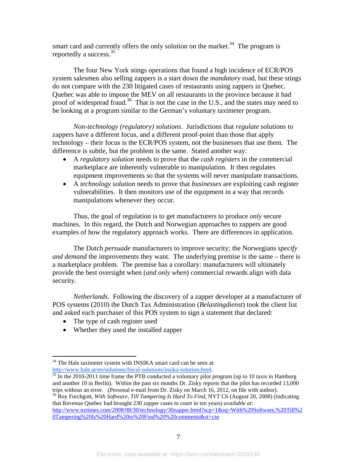smart card and currently offers the only solution on the market.<sup>34</sup> The program is reportedly a success.35

The four New York stings operations that found a high incidence of ECR/POS system salesmen also selling zappers is a start down the *mandatory* road, but these stings do not compare with the 230 litigated cases of restaurants using zappers in Quebec. Quebec was able to impose the MEV on all restaurants in the province because it had proof of widespread fraud.<sup>36</sup> That is not the case in the U.S., and the states may need to be looking at a program similar to the German's voluntary taximeter program.

*Non-technology (regulatory) solutions*. Jurisdictions that *regulate* solutions to zappers have a different focus, and a different proof-point than those that apply technology – their focus is the ECR/POS system, not the businesses that use them. The difference is subtle, but the problem is the same. Stated another way:

- A *regulatory solution* needs to prove that the *cash registers* in the commercial marketplace are inherently vulnerable to manipulation. It then regulates equipment improvements so that the systems will never manipulate transactions.
- A *technology solution* needs to prove that *businesses* are exploiting cash register vulnerabilities. It then monitors use of the equipment in a way that records manipulations whenever they occur.

Thus, the goal of regulation is to get manufacturers to produce *only* secure machines. In this regard, the Dutch and Norwegian approaches to zappers are good examples of how the regulatory approach works. There are differences in application.

The Dutch *persuade* manufacturers to improve security; the Norwegians *specify and demand* the improvements they want. The underlying premise is the same – there is a marketplace problem. The premise has a corollary: manufacturers will ultimately provide the best oversight when (*and only when*) commercial rewards align with data security.

*Netherlands*. Following the discovery of a zapper developer at a manufacturer of POS systems (2010) the Dutch Tax Administration (*Belastingdienst*) took the client list and asked each purchaser of this POS system to sign a statement that declared:

• The type of cash register used

 $\overline{a}$ 

Whether they used the installed zapper

http://www.nytimes.com/2008/08/30/technology/30zapper.html?scp=1&sq=With%20Software,%20Till%2 0Tampering%20Is%20Hard%20to%20Find%20%20comments&st=cse

<sup>&</sup>lt;sup>34</sup> The Hale taximeter system with INSIKA smart card can be seen at:

http://www.hale.at/en/solutions/fiscal-solutions/insika-solution.html.<br><sup>35</sup> In the 2010-2011 time frame the PTB conducted a voluntary pilot program (up to 10 taxis in Hamburg and another 10 in Berlin). Within the past six months Dr. Zisky reports that the pilot has recorded 13,000 trips without an error. (Personal e-mail from Dr. Zisky on March 16, 2012, on file with author).

<sup>36</sup> Roy Furchgott, *With Software, Till Tampering Is Hard To Find*, NYT C6 (August 20, 2008) (indicating that Revenue Quebec had brought 230 zapper cases to court in ten years) *available at*: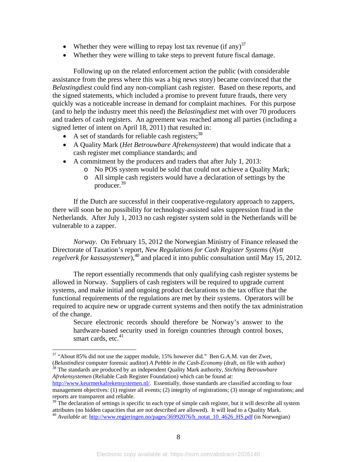- Whether they were willing to repay lost tax revenue (if any) $37$
- Whether they were willing to take steps to prevent future fiscal damage.

Following up on the related enforcement action the public (with considerable assistance from the press where this was a big news story) became convinced that the *Belastingdiest* could find any non-compliant cash register*.* Based on these reports, and the signed statements, which included a promise to prevent future frauds, there very quickly was a noticeable increase in demand for complaint machines. For this purpose (and to help the industry meet this need) the *Belastingdiest* met with over 70 producers and traders of cash registers. An agreement was reached among all parties (including a signed letter of intent on April 18, 2011) that resulted in:

- A set of standards for reliable cash registers;  $38$
- A Quality Mark (*Het Betrouwbare Afrekensysteem*) that would indicate that a cash register met compliance standards; and
- A commitment by the producers and traders that after July 1, 2013:
	- o No POS system would be sold that could not achieve a Quality Mark;
	- o All simple cash registers would have a declaration of settings by the producer.39

If the Dutch are successful in their cooperative-regulatory approach to zappers, there will soon be no possibility for technology-assisted sales suppression fraud in the Netherlands. After July 1, 2013 no cash register system sold in the Netherlands will be vulnerable to a zapper.

*Norway*. On February 15, 2012 the Norwegian Ministry of Finance released the Directorate of Taxation's report, *New Regulations for Cash Register Systems* (*Nytt regelverk for kassasystemer*),<sup>40</sup> and placed it into public consultation until May 15, 2012.

The report essentially recommends that only qualifying cash register systems be allowed in Norway. Suppliers of cash registers will be required to upgrade current systems, and make initial and ongoing product declarations to the tax office that the functional requirements of the regulations are met by their systems. Operators will be required to acquire new or upgrade current systems and then notify the tax administration of the change.

Secure electronic records should therefore be Norway's answer to the hardware-based security used in foreign countries through control boxes, smart cards, etc. $41$ 

1

<sup>38</sup> The standards are produced by an independent Quality Mark authority, *Stichting Betrouwbare Afrekensystemen* (Reliable Cash Register Foundation) which can be found at:

<sup>&</sup>lt;sup>37</sup> "About 85% did not use the zapper module, 15% however did." Ben G.A.M. van der Zwet, (*Belastindiest* computer forensic auditor) *A Pebble in the Cash-Economy* (draft, on file with author)

http://www.keurmerkafrekensystemen.nl/. Essentially, those standards are classified according to four management objectives: (1) register all events; (2) integrity of registrations; (3) storage of registrations; and reports are transparent and reliable.

 $39$ <sup>29</sup> The declaration of settings is specific to each type of simple cash register, but it will describe all system attributes (no hidden capacities that are not described are allowed). It will lead to a Quality Mark.

<sup>&</sup>lt;sup>40</sup> Available at: http://www.regjeringen.no/pages/36992076/h\_notat\_10\_4626\_HS.pdf (in Norwegian)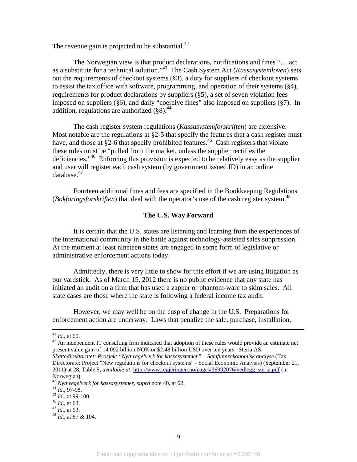The revenue gain is projected to be substantial. $^{42}$ 

 The Norwegian view is that product declarations, notifications and fines "… act as a substitute for a technical solution."43 The Cash System Act (*Kassasystemloven*) sets out the requirements of checkout systems (§3), a duty for suppliers of checkout systems to assist the tax office with software, programming, and operation of their systems (§4), requirements for product declarations by suppliers (§5), a set of seven violation fees imposed on suppliers (§6), and daily "coercive fines" also imposed on suppliers (§7). In addition, regulations are authorized  $(\S 8)^{44}$ 

The cash register system regulations (*Kassasystemforskriften*) are extensive. Most notable are the regulations at §2-5 that specify the features that a cash register must have, and those at §2-6 that specify prohibited features.<sup>45</sup> Cash registers that violate these rules must be "pulled from the market, unless the supplier rectifies the deficiencies."46 Enforcing this provision is expected to be relatively easy as the supplier and user will register each cash system (by government issued ID) in an online database.<sup>47</sup>

Fourteen additional fines and fees are specified in the Bookkeeping Regulations (*Bokforingsforskriften*) that deal with the operator's use of the cash register system.<sup>48</sup>

#### **The U.S. Way Forward**

It is certain that the U.S. states are listening and learning from the experiences of the international community in the battle against technology-assisted sales suppression. At the moment at least nineteen states are engaged in some form of legislative or administrative enforcement actions today.

Admittedly, there is very little to show for this effort if we are using litigation as our yardstick. As of March 15, 2012 there is no public evidence that any state has initiated an audit on a firm that has used a zapper or phantom-ware to skim sales. All state cases are those where the state is following a federal income tax audit.

However, we may well be on the cusp of change in the U.S. Preparations for enforcement action are underway. Laws that penalize the sale, purchase, installation,

- 
- 

<sup>&</sup>lt;sup>41</sup> *Id.*, at 60.  $\frac{42}{4}$  An independent IT consulting firm indicated that adoption of these rules would provide an estimate net present value gain of 14.092 billion NOK or \$2.48 billion USD over ten years. Steria AS, *Skattedirektoratet: Prosjekt "Nytt regelverk for kassasystemer" – Samfunnsokonomisk analyse* (Tax Directorate: Project "New regulations for checkout systems" - Social Economic Analysis) (September 21, 2011) at 28, Table 5, *available at*: http://www.regjeringen.no/pages/36992076/vedlegg\_steria.pdf (in Norwegian).

<sup>43</sup> *Nytt regelverk for kassasystemer, supra* note 40, at 62.<br>
<sup>44</sup> *Id.*, 97-98.<br>
<sup>45</sup> *Id.*, at 99-100.<br>
<sup>46</sup> *Id.*, at 63.<br>
<sup>47</sup> *Id.*, at 63.<br>
<sup>48</sup> *Id.*, at 67 & 104.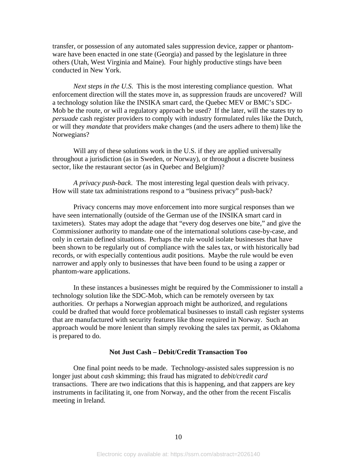transfer, or possession of any automated sales suppression device, zapper or phantomware have been enacted in one state (Georgia) and passed by the legislature in three others (Utah, West Virginia and Maine). Four highly productive stings have been conducted in New York.

*Next steps in the U.S*. This is the most interesting compliance question. What enforcement direction will the states move in, as suppression frauds are uncovered? Will a technology solution like the INSIKA smart card, the Quebec MEV or BMC's SDC-Mob be the route, or will a regulatory approach be used? If the later, will the states try to *persuade* cash register providers to comply with industry formulated rules like the Dutch, or will they *mandate* that providers make changes (and the users adhere to them) like the Norwegians?

Will any of these solutions work in the U.S. if they are applied universally throughout a jurisdiction (as in Sweden, or Norway), or throughout a discrete business sector, like the restaurant sector (as in Quebec and Belgium)?

*A privacy push-back*. The most interesting legal question deals with privacy. How will state tax administrations respond to a "business privacy" push-back?

Privacy concerns may move enforcement into more surgical responses than we have seen internationally (outside of the German use of the INSIKA smart card in taximeters). States may adopt the adage that "every dog deserves one bite," and give the Commissioner authority to mandate one of the international solutions case-by-case, and only in certain defined situations. Perhaps the rule would isolate businesses that have been shown to be regularly out of compliance with the sales tax, or with historically bad records, or with especially contentious audit positions. Maybe the rule would be even narrower and apply only to businesses that have been found to be using a zapper or phantom-ware applications.

In these instances a businesses might be required by the Commissioner to install a technology solution like the SDC-Mob, which can be remotely overseen by tax authorities. Or perhaps a Norwegian approach might be authorized, and regulations could be drafted that would force problematical businesses to install cash register systems that are manufactured with security features like those required in Norway. Such an approach would be more lenient than simply revoking the sales tax permit, as Oklahoma is prepared to do.

#### **Not Just Cash – Debit/Credit Transaction Too**

One final point needs to be made. Technology-assisted sales suppression is no longer just about *cash* skimming; this fraud has migrated to *debit/credit card* transactions. There are two indications that this is happening, and that zappers are key instruments in facilitating it, one from Norway, and the other from the recent Fiscalis meeting in Ireland.